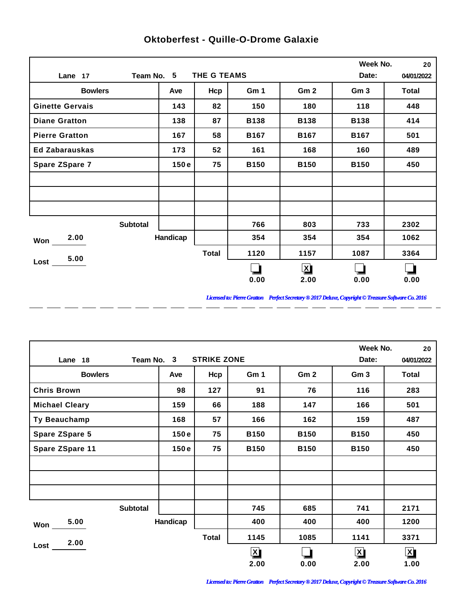|                        |            |              |             |                 | Week No.        | 20           |
|------------------------|------------|--------------|-------------|-----------------|-----------------|--------------|
| Lane 17                | Team No. 5 | THE G TEAMS  |             |                 | Date:           | 04/01/2022   |
| <b>Bowlers</b>         | Ave        | Hcp          | Gm 1        | Gm <sub>2</sub> | Gm <sub>3</sub> | <b>Total</b> |
| <b>Ginette Gervais</b> | 143        | 82           | 150         | 180             | 118             | 448          |
| <b>Diane Gratton</b>   | 138        | 87           | <b>B138</b> | <b>B138</b>     | <b>B138</b>     | 414          |
| <b>Pierre Gratton</b>  | 167        | 58           | <b>B167</b> | <b>B167</b>     | <b>B167</b>     | 501          |
| <b>Ed Zabarauskas</b>  | 173        | 52           | 161         | 168             | 160             | 489          |
| Spare ZSpare 7         | 150e       | 75           | <b>B150</b> | <b>B150</b>     | <b>B150</b>     | 450          |
|                        |            |              |             |                 |                 |              |
|                        |            |              |             |                 |                 |              |
|                        |            |              |             |                 |                 |              |
| <b>Subtotal</b>        |            |              | 766         | 803             | 733             | 2302         |
| 2.00<br>Won            | Handicap   |              | 354         | 354             | 354             | 1062         |
| 5.00                   |            | <b>Total</b> | 1120        | 1157            | 1087            | 3364         |
| Lost                   |            |              |             | $\mathbf{x}$    |                 |              |
|                        |            |              | 0.00        | 2.00            | 0.00            | 0.00         |

 $\overline{a}$ 

 $\overline{a}$ 

 $\overline{a}$ 

 $\overline{a}$ 

 $\overline{a}$ 

 $\overline{a}$ 

 $\overline{a}$ 

## **Oktoberfest - Quille-O-Drome Galaxie**

*Licensed to: Pierre Gratton Perfect Secretary ® 2017 Deluxe, Copyright © Treasure Software Co. 2016*

<u> 2002 - 2003 - 2003 - 2003 - 2003 - 2003 - 2003 - 2003 - 2003 - 2003 - 2003 - 2003 - 2003 - 2003 - 2003 - 200</u>

|                       |          |                    |              |                 | Week No.        | 20                      |
|-----------------------|----------|--------------------|--------------|-----------------|-----------------|-------------------------|
| Team No. 3<br>Lane 18 |          | <b>STRIKE ZONE</b> |              |                 | Date:           | 04/01/2022              |
| <b>Bowlers</b>        | Ave      | Hcp                | Gm 1         | Gm <sub>2</sub> | Gm <sub>3</sub> | Total                   |
| <b>Chris Brown</b>    | 98       | 127                | 91           | 76              | 116             | 283                     |
| <b>Michael Cleary</b> | 159      | 66                 | 188          | 147             | 166             | 501                     |
| Ty Beauchamp          | 168      | 57                 | 166          | 162             | 159             | 487                     |
| <b>Spare ZSpare 5</b> | 150e     | 75                 | <b>B150</b>  | <b>B150</b>     | <b>B150</b>     | 450                     |
| Spare ZSpare 11       | 150e     | 75                 | <b>B150</b>  | <b>B150</b>     | <b>B150</b>     | 450                     |
|                       |          |                    |              |                 |                 |                         |
|                       |          |                    |              |                 |                 |                         |
|                       |          |                    |              |                 |                 |                         |
| <b>Subtotal</b>       |          |                    | 745          | 685             | 741             | 2171                    |
| 5.00<br>Won           | Handicap |                    | 400          | 400             | 400             | 1200                    |
| 2.00                  |          | <b>Total</b>       | 1145         | 1085            | 1141            | 3371                    |
| Lost                  |          |                    | $\mathbf{X}$ |                 | $\mathbf{X}$    | $\overline{\mathbf{X}}$ |
|                       |          |                    | 2.00         | 0.00            | 2.00            | 1.00                    |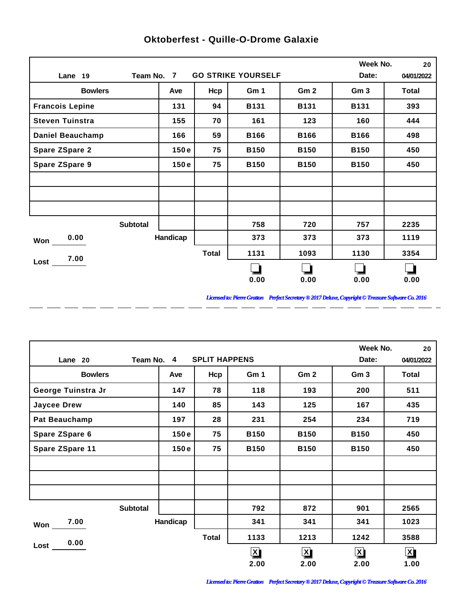|                         |                 |              |                           |                 | Week No.        | 20         |
|-------------------------|-----------------|--------------|---------------------------|-----------------|-----------------|------------|
| Lane 19                 | Team No. 7      |              | <b>GO STRIKE YOURSELF</b> |                 | Date:           | 04/01/2022 |
| <b>Bowlers</b>          | Ave             | Hcp          | Gm 1                      | Gm <sub>2</sub> | Gm <sub>3</sub> | Total      |
| <b>Francois Lepine</b>  | 131             | 94           | <b>B131</b>               | <b>B131</b>     | <b>B131</b>     | 393        |
| <b>Steven Tuinstra</b>  | 155             | 70           | 161                       | 123             | 160             | 444        |
| <b>Daniel Beauchamp</b> | 166             | 59           | <b>B166</b>               | <b>B166</b>     | <b>B166</b>     | 498        |
| <b>Spare ZSpare 2</b>   | 150e            | 75           | <b>B150</b>               | <b>B150</b>     | <b>B150</b>     | 450        |
| <b>Spare ZSpare 9</b>   | 150e            | 75           | <b>B150</b>               | <b>B150</b>     | <b>B150</b>     | 450        |
|                         |                 |              |                           |                 |                 |            |
|                         |                 |              |                           |                 |                 |            |
|                         |                 |              |                           |                 |                 |            |
|                         | <b>Subtotal</b> |              | 758                       | 720             | 757             | 2235       |
| 0.00<br>Won             | Handicap        |              | 373                       | 373             | 373             | 1119       |
| 7.00                    |                 | <b>Total</b> | 1131                      | 1093            | 1130            | 3354       |
| Lost                    |                 |              |                           |                 |                 |            |
|                         |                 |              | 0.00                      | 0.00            | 0.00            | 0.00       |

 $\overline{a}$ 

 $=$   $=$ 

 $\overline{a}$ 

 $\overline{a}$ 

 $\overline{a}$ 

 $\overline{a}$ 

 $\overline{a}$ 

## **Oktoberfest - Quille-O-Drome Galaxie**

*Licensed to: Pierre Gratton Perfect Secretary ® 2017 Deluxe, Copyright © Treasure Software Co. 2016* \_ \_\_ \_\_ \_\_ \_\_ \_\_ \_\_ \_\_ \_\_ \_\_ \_\_ \_\_

 $\overline{a}$   $\overline{a}$ 

|                      |                 |                      |              |                         | Week No.        | 20                      |
|----------------------|-----------------|----------------------|--------------|-------------------------|-----------------|-------------------------|
| Lane 20              | Team No. 4      | <b>SPLIT HAPPENS</b> |              |                         | Date:           | 04/01/2022              |
| <b>Bowlers</b>       | Ave             | Hcp                  | Gm 1         | Gm <sub>2</sub>         | Gm <sub>3</sub> | Total                   |
| George Tuinstra Jr   | 147             | 78                   | 118          | 193                     | 200             | 511                     |
| <b>Jaycee Drew</b>   | 140             | 85                   | 143          | 125                     | 167             | 435                     |
| <b>Pat Beauchamp</b> | 197             | 28                   | 231          | 254                     | 234             | 719                     |
| Spare ZSpare 6       | 150e            | 75                   | <b>B150</b>  | <b>B150</b>             | <b>B150</b>     | 450                     |
| Spare ZSpare 11      | 150e            | 75                   | <b>B150</b>  | <b>B150</b>             | <b>B150</b>     | 450                     |
|                      |                 |                      |              |                         |                 |                         |
|                      |                 |                      |              |                         |                 |                         |
|                      |                 |                      |              |                         |                 |                         |
|                      | <b>Subtotal</b> |                      | 792          | 872                     | 901             | 2565                    |
| 7.00<br>Won          | Handicap        |                      | 341          | 341                     | 341             | 1023                    |
| 0.00                 |                 | <b>Total</b>         | 1133         | 1213                    | 1242            | 3588                    |
| Lost                 |                 |                      | $\mathbf{X}$ | $\overline{\mathbf{X}}$ | $\mathbf{X}$    | $\overline{\mathbf{X}}$ |
|                      |                 |                      | 2.00         | 2.00                    | 2.00            | 1.00                    |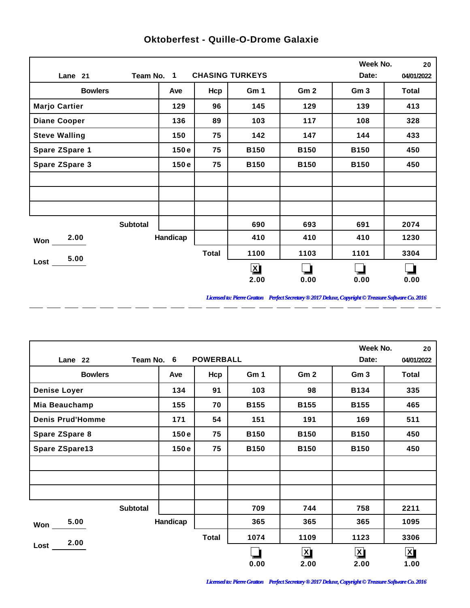|                      |                 |              |                        |                 | Week No.        | 20         |
|----------------------|-----------------|--------------|------------------------|-----------------|-----------------|------------|
| Lane 21              | Team No. 1      |              | <b>CHASING TURKEYS</b> |                 | Date:           | 04/01/2022 |
| <b>Bowlers</b>       | Ave             | Hcp          | Gm 1                   | Gm <sub>2</sub> | Gm <sub>3</sub> | Total      |
| <b>Marjo Cartier</b> | 129             | 96           | 145                    | 129             | 139             | 413        |
| <b>Diane Cooper</b>  | 136             | 89           | 103                    | 117             | 108             | 328        |
| <b>Steve Walling</b> | 150             | 75           | 142                    | 147             | 144             | 433        |
| Spare ZSpare 1       | 150e            | 75           | <b>B150</b>            | <b>B150</b>     | <b>B150</b>     | 450        |
| Spare ZSpare 3       | 150e            | 75           | <b>B150</b>            | <b>B150</b>     | <b>B150</b>     | 450        |
|                      |                 |              |                        |                 |                 |            |
|                      |                 |              |                        |                 |                 |            |
|                      |                 |              |                        |                 |                 |            |
|                      | <b>Subtotal</b> |              | 690                    | 693             | 691             | 2074       |
| 2.00<br>Won          | Handicap        |              | 410                    | 410             | 410             | 1230       |
| 5.00                 |                 | <b>Total</b> | 1100                   | 1103            | 1101            | 3304       |
| $Loss-$              |                 |              | $\mathbf{X}$           |                 |                 |            |
|                      |                 |              | 2.00                   | 0.00            | 0.00            | 0.00       |

 $\overline{a}$ 

 $\overline{a}$ 

 $\overline{a}$ 

 $\overline{a}$ 

 $\overline{a}$ 

 $\overline{a}$ 

 $\overline{a}$ 

## **Oktoberfest - Quille-O-Drome Galaxie**

*Licensed to: Pierre Gratton Perfect Secretary ® 2017 Deluxe, Copyright © Treasure Software Co. 2016*

<u> 2002 - 2003 - 2003 - 2003 - 2003 - 2003 - 2003 - 2003 - 2003 - 2003 - 2003 - 2003 - 2003 - 2003 - 2003 - 200</u>

|                         |                 |          |                  |             |                         | Week No.             | 20                      |
|-------------------------|-----------------|----------|------------------|-------------|-------------------------|----------------------|-------------------------|
| Lane 22                 | Team No. 6      |          | <b>POWERBALL</b> |             |                         | Date:                | 04/01/2022              |
| <b>Bowlers</b>          |                 | Ave      | Hcp              | Gm 1        | Gm <sub>2</sub>         | Gm <sub>3</sub>      | Total                   |
| <b>Denise Loyer</b>     |                 | 134      | 91               | 103         | 98                      | <b>B134</b>          | 335                     |
| Mia Beauchamp           |                 | 155      | 70               | <b>B155</b> | <b>B155</b>             | <b>B155</b>          | 465                     |
| <b>Denis Prud'Homme</b> |                 | 171      | 54               | 151         | 191                     | 169                  | 511                     |
| Spare ZSpare 8          |                 | 150e     | 75               | <b>B150</b> | <b>B150</b>             | <b>B150</b>          | 450                     |
| Spare ZSpare13          |                 | 150e     | 75               | <b>B150</b> | <b>B150</b>             | <b>B150</b>          | 450                     |
|                         |                 |          |                  |             |                         |                      |                         |
|                         |                 |          |                  |             |                         |                      |                         |
|                         |                 |          |                  |             |                         |                      |                         |
|                         | <b>Subtotal</b> |          |                  | 709         | 744                     | 758                  | 2211                    |
| 5.00<br>Won             |                 | Handicap |                  | 365         | 365                     | 365                  | 1095                    |
| 2.00                    |                 |          | <b>Total</b>     | 1074        | 1109                    | 1123                 | 3306                    |
| Lost                    |                 |          |                  |             | $\overline{\mathbf{X}}$ | $\boxed{\mathbf{X}}$ | $\overline{\mathbf{X}}$ |
|                         |                 |          |                  | 0.00        | 2.00                    | 2.00                 | 1.00                    |